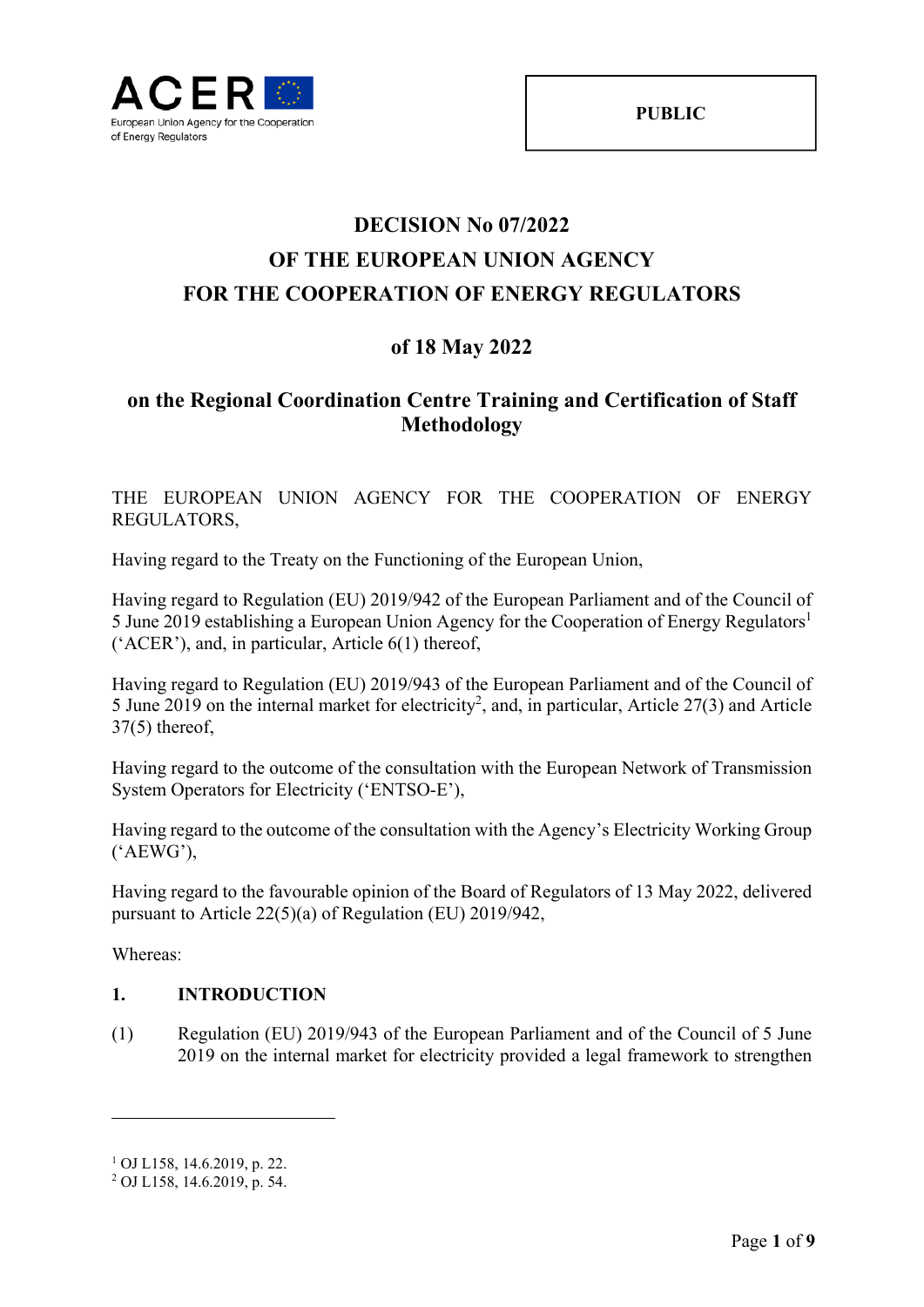

# **DECISION No 07/2022 OF THE EUROPEAN UNION AGENCY FOR THE COOPERATION OF ENERGY REGULATORS**

# **of 18 May 2022**

# **on the Regional Coordination Centre Training and Certification of Staff Methodology**

### THE EUROPEAN UNION AGENCY FOR THE COOPERATION OF ENERGY REGULATORS,

Having regard to the Treaty on the Functioning of the European Union,

Having regard to Regulation (EU) 2019/942 of the European Parliament and of the Council of 5 June 2019 establishing a European Union Agency for the Cooperation of Energy Regulators<sup>1</sup> ('ACER'), and, in particular, Article 6(1) thereof,

Having regard to Regulation (EU) 2019/943 of the European Parliament and of the Council of 5 June 2019 on the internal market for electricity<sup>2</sup>, and, in particular, Article 27(3) and Article 37(5) thereof,

Having regard to the outcome of the consultation with the European Network of Transmission System Operators for Electricity ('ENTSO-E'),

Having regard to the outcome of the consultation with the Agency's Electricity Working Group ('AEWG'),

Having regard to the favourable opinion of the Board of Regulators of 13 May 2022, delivered pursuant to Article 22(5)(a) of Regulation (EU) 2019/942,

Whereas:

1

### **1. INTRODUCTION**

(1) Regulation (EU) 2019/943 of the European Parliament and of the Council of 5 June 2019 on the internal market for electricity provided a legal framework to strengthen

<sup>1</sup> OJ L158, 14.6.2019, p. 22.

<sup>2</sup> OJ L158, 14.6.2019, p. 54.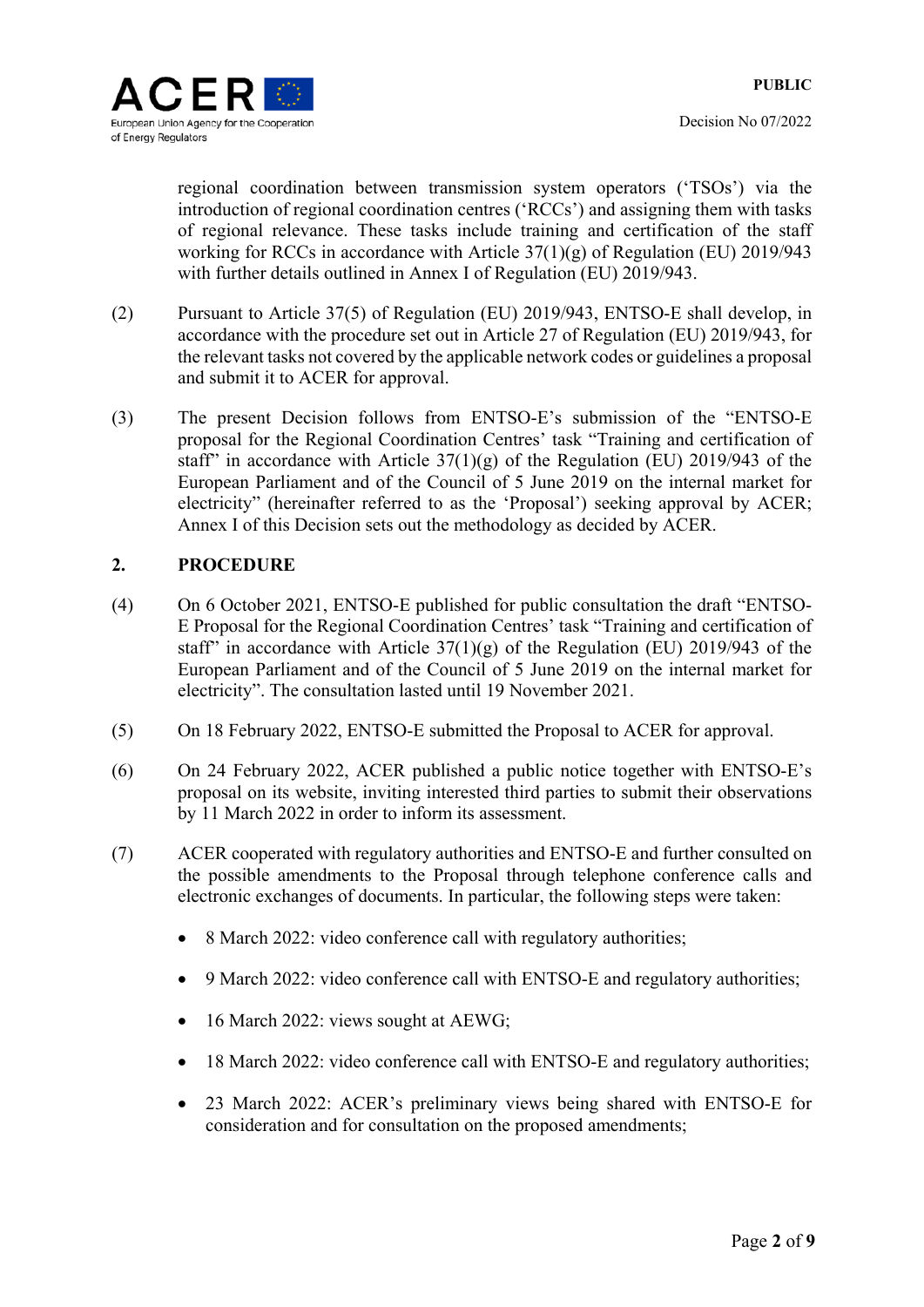regional coordination between transmission system operators ('TSOs') via the introduction of regional coordination centres ('RCCs') and assigning them with tasks of regional relevance. These tasks include training and certification of the staff working for RCCs in accordance with Article 37(1)(g) of Regulation (EU) 2019/943 with further details outlined in Annex I of Regulation (EU) 2019/943.

- (2) Pursuant to Article 37(5) of Regulation (EU) 2019/943, ENTSO-E shall develop, in accordance with the procedure set out in Article 27 of Regulation (EU) 2019/943, for the relevant tasks not covered by the applicable network codes or guidelines a proposal and submit it to ACER for approval.
- (3) The present Decision follows from ENTSO-E's submission of the "ENTSO-E proposal for the Regional Coordination Centres' task "Training and certification of staff" in accordance with Article  $37(1)(g)$  of the Regulation (EU) 2019/943 of the European Parliament and of the Council of 5 June 2019 on the internal market for electricity" (hereinafter referred to as the 'Proposal') seeking approval by ACER; Annex I of this Decision sets out the methodology as decided by ACER.

### **2. PROCEDURE**

- (4) On 6 October 2021, ENTSO-E published for public consultation the draft "ENTSO-E Proposal for the Regional Coordination Centres' task "Training and certification of staff" in accordance with Article  $37(1)(g)$  of the Regulation (EU) 2019/943 of the European Parliament and of the Council of 5 June 2019 on the internal market for electricity". The consultation lasted until 19 November 2021.
- (5) On 18 February 2022, ENTSO-E submitted the Proposal to ACER for approval.
- (6) On 24 February 2022, ACER published a public notice together with ENTSO-E's proposal on its website, inviting interested third parties to submit their observations by 11 March 2022 in order to inform its assessment.
- (7) ACER cooperated with regulatory authorities and ENTSO-E and further consulted on the possible amendments to the Proposal through telephone conference calls and electronic exchanges of documents. In particular, the following steps were taken:
	- 8 March 2022: video conference call with regulatory authorities;
	- 9 March 2022: video conference call with ENTSO-E and regulatory authorities;
	- 16 March 2022: views sought at AEWG;
	- 18 March 2022: video conference call with ENTSO-E and regulatory authorities;
	- 23 March 2022: ACER's preliminary views being shared with ENTSO-E for consideration and for consultation on the proposed amendments;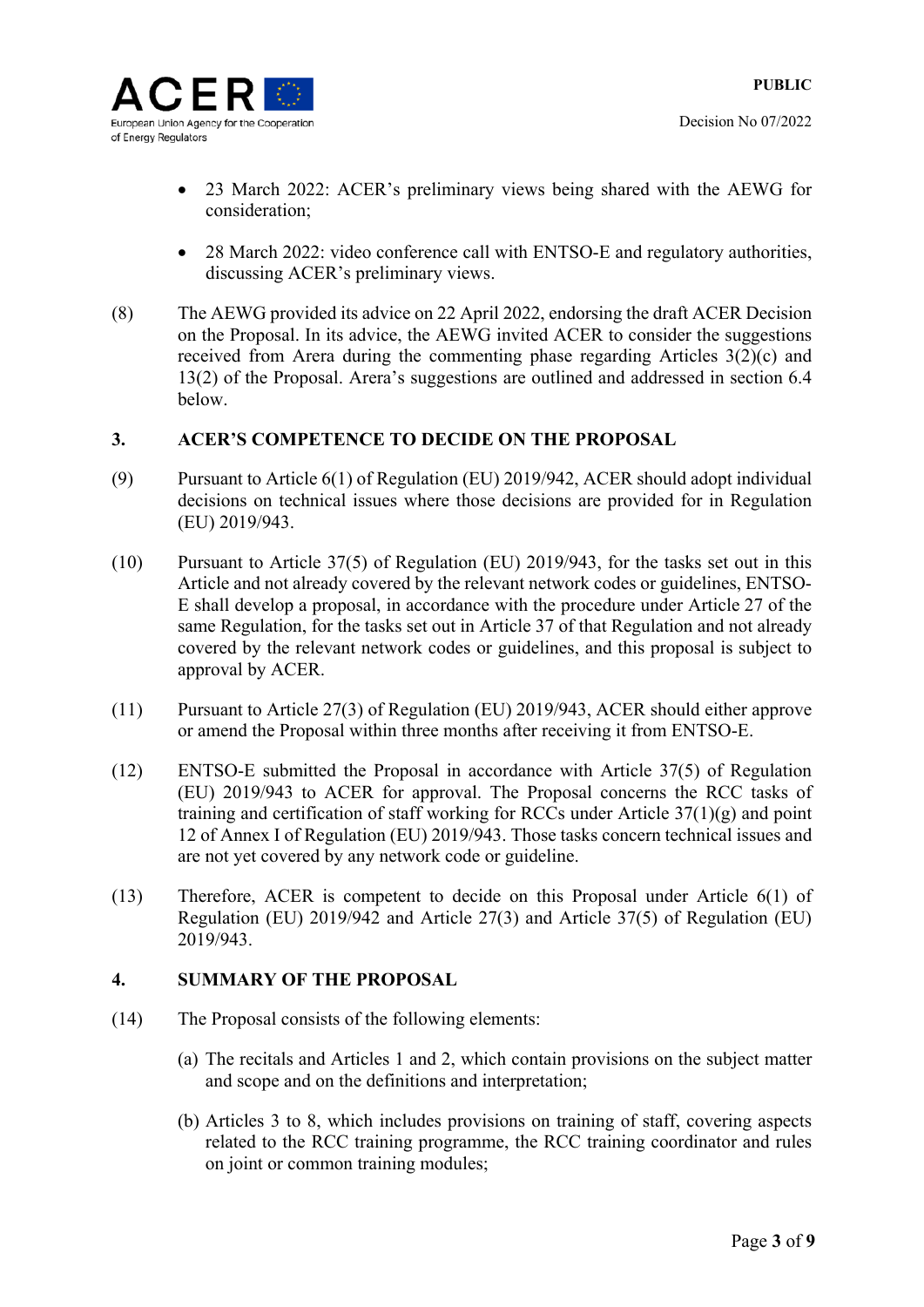

- 23 March 2022: ACER's preliminary views being shared with the AEWG for consideration;
- 28 March 2022: video conference call with ENTSO-E and regulatory authorities, discussing ACER's preliminary views.
- (8) The AEWG provided its advice on 22 April 2022, endorsing the draft ACER Decision on the Proposal. In its advice, the AEWG invited ACER to consider the suggestions received from Arera during the commenting phase regarding Articles 3(2)(c) and 13(2) of the Proposal. Arera's suggestions are outlined and addressed in section 6.4 below.

### **3. ACER'S COMPETENCE TO DECIDE ON THE PROPOSAL**

- (9) Pursuant to Article 6(1) of Regulation (EU) 2019/942, ACER should adopt individual decisions on technical issues where those decisions are provided for in Regulation (EU) 2019/943.
- (10) Pursuant to Article 37(5) of Regulation (EU) 2019/943, for the tasks set out in this Article and not already covered by the relevant network codes or guidelines, ENTSO-E shall develop a proposal, in accordance with the procedure under Article 27 of the same Regulation, for the tasks set out in Article 37 of that Regulation and not already covered by the relevant network codes or guidelines, and this proposal is subject to approval by ACER.
- (11) Pursuant to Article 27(3) of Regulation (EU) 2019/943, ACER should either approve or amend the Proposal within three months after receiving it from ENTSO-E.
- (12) ENTSO-E submitted the Proposal in accordance with Article 37(5) of Regulation (EU) 2019/943 to ACER for approval. The Proposal concerns the RCC tasks of training and certification of staff working for RCCs under Article  $37(1)(g)$  and point 12 of Annex I of Regulation (EU) 2019/943. Those tasks concern technical issues and are not yet covered by any network code or guideline.
- (13) Therefore, ACER is competent to decide on this Proposal under Article 6(1) of Regulation (EU) 2019/942 and Article 27(3) and Article 37(5) of Regulation (EU) 2019/943.

### **4. SUMMARY OF THE PROPOSAL**

- (14) The Proposal consists of the following elements:
	- (a) The recitals and Articles 1 and 2, which contain provisions on the subject matter and scope and on the definitions and interpretation;
	- (b) Articles 3 to 8, which includes provisions on training of staff, covering aspects related to the RCC training programme, the RCC training coordinator and rules on joint or common training modules;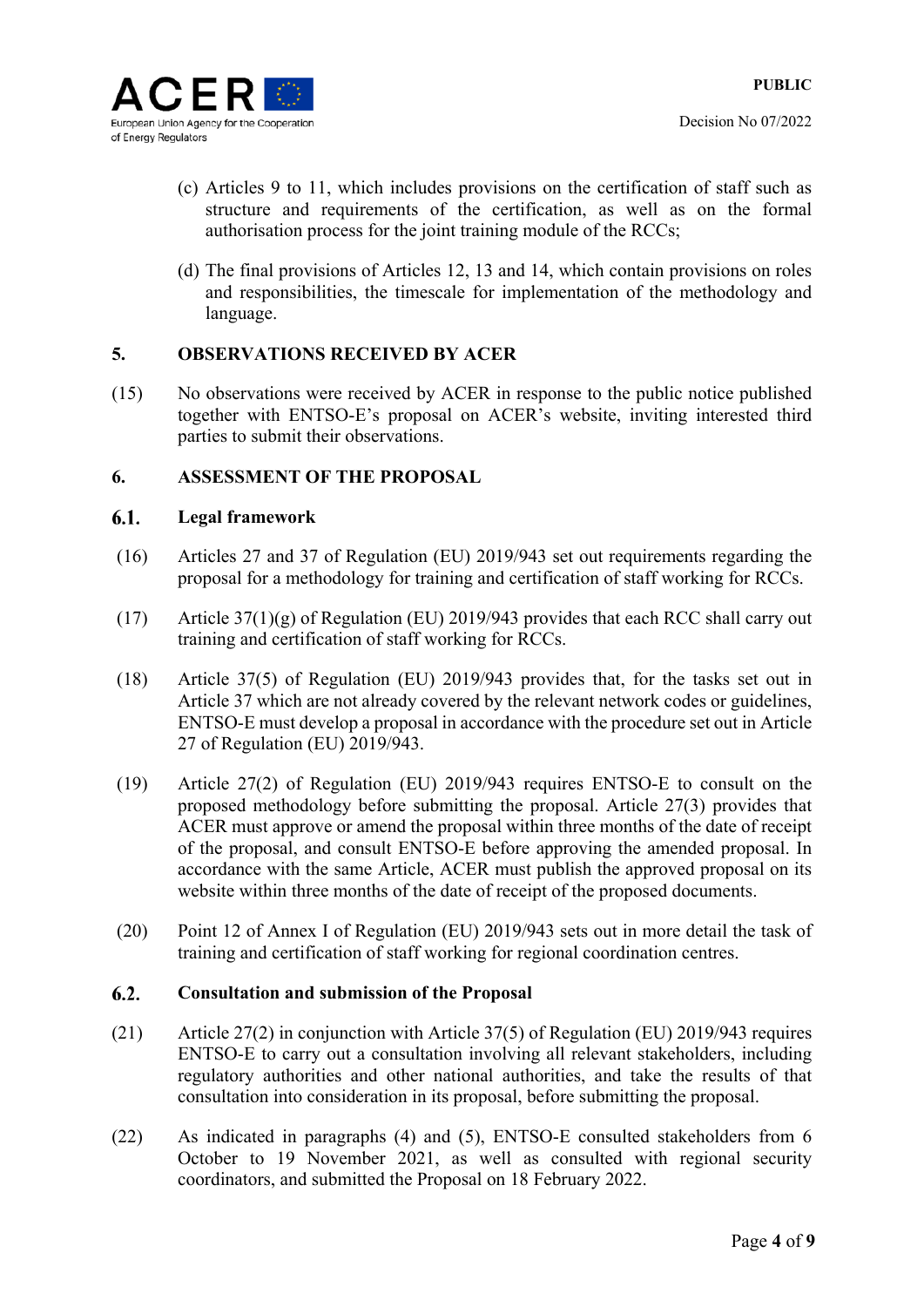

- (c) Articles 9 to 11, which includes provisions on the certification of staff such as structure and requirements of the certification, as well as on the formal authorisation process for the joint training module of the RCCs;
- (d) The final provisions of Articles 12, 13 and 14, which contain provisions on roles and responsibilities, the timescale for implementation of the methodology and language.

### **5. OBSERVATIONS RECEIVED BY ACER**

(15) No observations were received by ACER in response to the public notice published together with ENTSO-E's proposal on ACER's website, inviting interested third parties to submit their observations.

### **6. ASSESSMENT OF THE PROPOSAL**

#### 6.1. **Legal framework**

- (16) Articles 27 and 37 of Regulation (EU) 2019/943 set out requirements regarding the proposal for a methodology for training and certification of staff working for RCCs.
- (17) Article 37(1)(g) of Regulation (EU) 2019/943 provides that each RCC shall carry out training and certification of staff working for RCCs.
- (18) Article 37(5) of Regulation (EU) 2019/943 provides that, for the tasks set out in Article 37 which are not already covered by the relevant network codes or guidelines, ENTSO-E must develop a proposal in accordance with the procedure set out in Article 27 of Regulation (EU) 2019/943.
- (19) Article 27(2) of Regulation (EU) 2019/943 requires ENTSO-E to consult on the proposed methodology before submitting the proposal. Article 27(3) provides that ACER must approve or amend the proposal within three months of the date of receipt of the proposal, and consult ENTSO-E before approving the amended proposal. In accordance with the same Article, ACER must publish the approved proposal on its website within three months of the date of receipt of the proposed documents.
- (20) Point 12 of Annex I of Regulation (EU) 2019/943 sets out in more detail the task of training and certification of staff working for regional coordination centres.

#### $6.2.$ **Consultation and submission of the Proposal**

- (21) Article 27(2) in conjunction with Article 37(5) of Regulation (EU) 2019/943 requires ENTSO-E to carry out a consultation involving all relevant stakeholders, including regulatory authorities and other national authorities, and take the results of that consultation into consideration in its proposal, before submitting the proposal.
- (22) As indicated in paragraphs (4) and (5), ENTSO-E consulted stakeholders from 6 October to 19 November 2021, as well as consulted with regional security coordinators, and submitted the Proposal on 18 February 2022.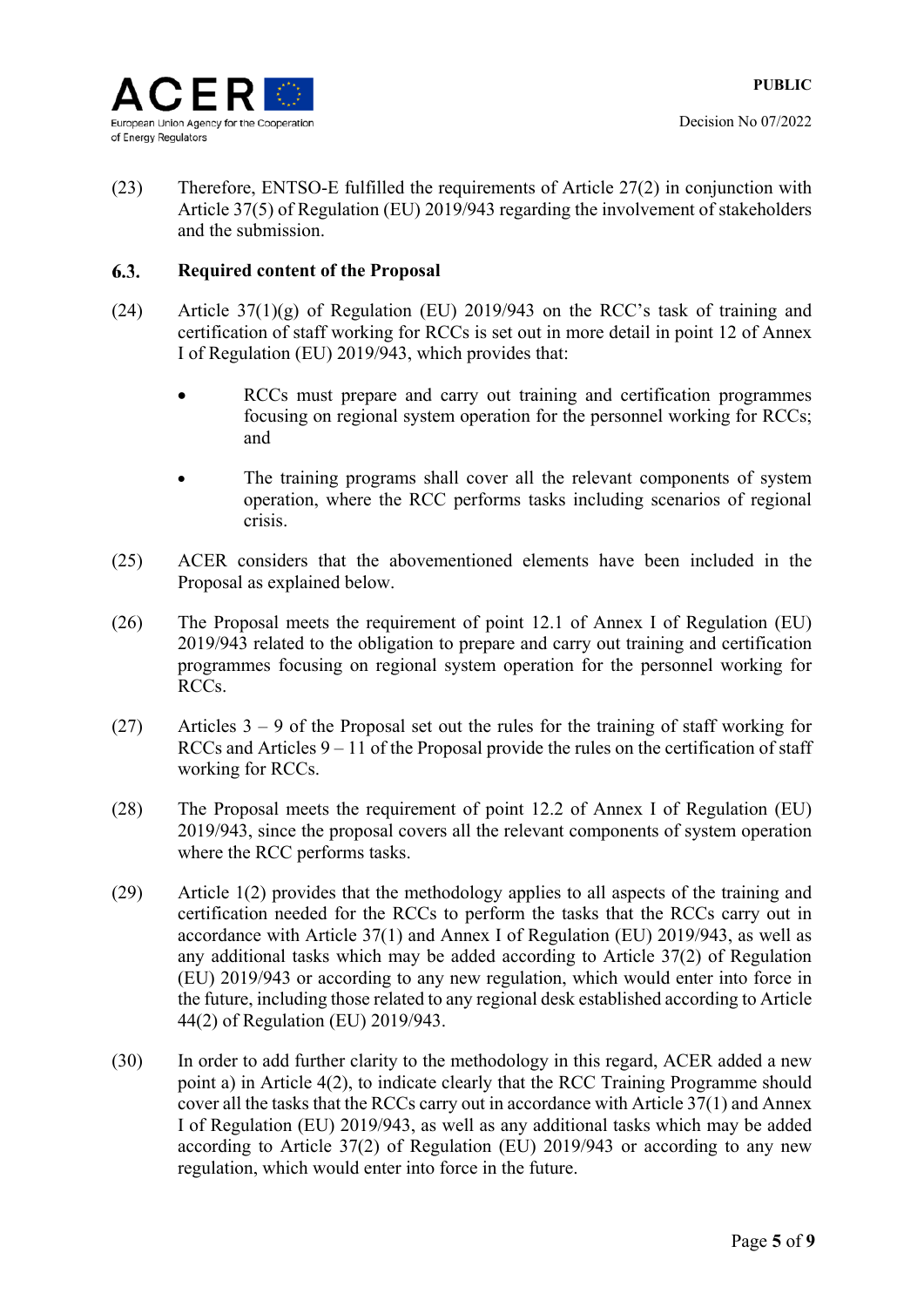

(23) Therefore, ENTSO-E fulfilled the requirements of Article 27(2) in conjunction with Article 37(5) of Regulation (EU) 2019/943 regarding the involvement of stakeholders and the submission.

#### 6.3. **Required content of the Proposal**

- (24) Article 37(1)(g) of Regulation (EU) 2019/943 on the RCC's task of training and certification of staff working for RCCs is set out in more detail in point 12 of Annex I of Regulation (EU) 2019/943, which provides that:
	- RCCs must prepare and carry out training and certification programmes focusing on regional system operation for the personnel working for RCCs; and
	- The training programs shall cover all the relevant components of system operation, where the RCC performs tasks including scenarios of regional crisis.
- (25) ACER considers that the abovementioned elements have been included in the Proposal as explained below.
- (26) The Proposal meets the requirement of point 12.1 of Annex I of Regulation (EU) 2019/943 related to the obligation to prepare and carry out training and certification programmes focusing on regional system operation for the personnel working for RCCs.
- (27) Articles  $3 9$  of the Proposal set out the rules for the training of staff working for RCCs and Articles  $9 - 11$  of the Proposal provide the rules on the certification of staff working for RCCs.
- (28) The Proposal meets the requirement of point 12.2 of Annex I of Regulation (EU) 2019/943, since the proposal covers all the relevant components of system operation where the RCC performs tasks.
- (29) Article 1(2) provides that the methodology applies to all aspects of the training and certification needed for the RCCs to perform the tasks that the RCCs carry out in accordance with Article 37(1) and Annex I of Regulation (EU) 2019/943, as well as any additional tasks which may be added according to Article 37(2) of Regulation (EU) 2019/943 or according to any new regulation, which would enter into force in the future, including those related to any regional desk established according to Article 44(2) of Regulation (EU) 2019/943.
- (30) In order to add further clarity to the methodology in this regard, ACER added a new point a) in Article 4(2), to indicate clearly that the RCC Training Programme should cover all the tasks that the RCCs carry out in accordance with Article 37(1) and Annex I of Regulation (EU) 2019/943, as well as any additional tasks which may be added according to Article 37(2) of Regulation (EU) 2019/943 or according to any new regulation, which would enter into force in the future.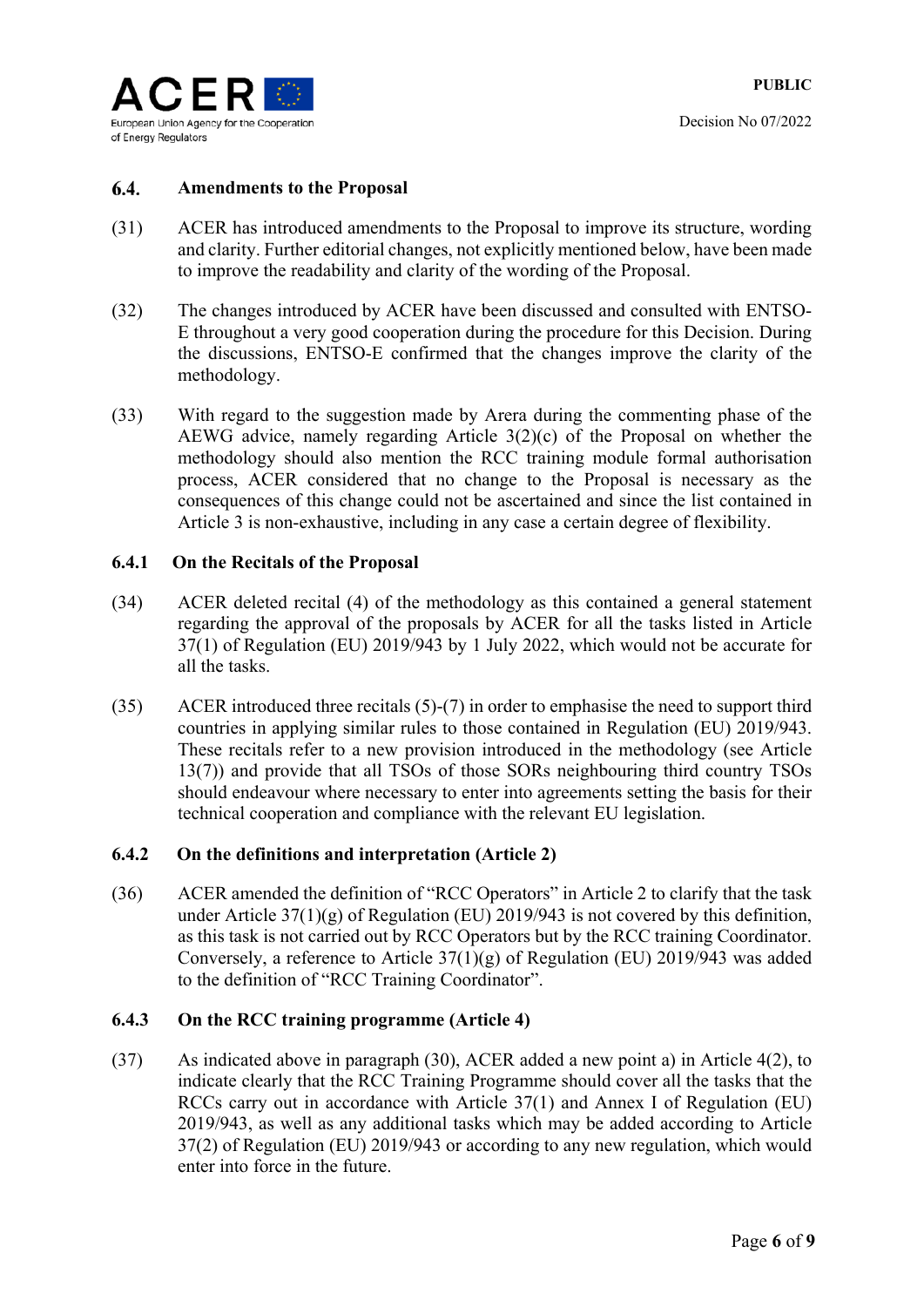

#### 6.4. **Amendments to the Proposal**

- (31) ACER has introduced amendments to the Proposal to improve its structure, wording and clarity. Further editorial changes, not explicitly mentioned below, have been made to improve the readability and clarity of the wording of the Proposal.
- (32) The changes introduced by ACER have been discussed and consulted with ENTSO-E throughout a very good cooperation during the procedure for this Decision. During the discussions, ENTSO-E confirmed that the changes improve the clarity of the methodology.
- (33) With regard to the suggestion made by Arera during the commenting phase of the AEWG advice, namely regarding Article 3(2)(c) of the Proposal on whether the methodology should also mention the RCC training module formal authorisation process, ACER considered that no change to the Proposal is necessary as the consequences of this change could not be ascertained and since the list contained in Article 3 is non-exhaustive, including in any case a certain degree of flexibility.

### **6.4.1 On the Recitals of the Proposal**

- (34) ACER deleted recital (4) of the methodology as this contained a general statement regarding the approval of the proposals by ACER for all the tasks listed in Article 37(1) of Regulation (EU) 2019/943 by 1 July 2022, which would not be accurate for all the tasks.
- (35) ACER introduced three recitals (5)-(7) in order to emphasise the need to support third countries in applying similar rules to those contained in Regulation (EU) 2019/943. These recitals refer to a new provision introduced in the methodology (see Article 13(7)) and provide that all TSOs of those SORs neighbouring third country TSOs should endeavour where necessary to enter into agreements setting the basis for their technical cooperation and compliance with the relevant EU legislation.

### **6.4.2 On the definitions and interpretation (Article 2)**

(36) ACER amended the definition of "RCC Operators" in Article 2 to clarify that the task under Article  $37(1)(g)$  of Regulation (EU) 2019/943 is not covered by this definition, as this task is not carried out by RCC Operators but by the RCC training Coordinator. Conversely, a reference to Article 37(1)(g) of Regulation (EU) 2019/943 was added to the definition of "RCC Training Coordinator".

### **6.4.3 On the RCC training programme (Article 4)**

(37) As indicated above in paragraph (30), ACER added a new point a) in Article 4(2), to indicate clearly that the RCC Training Programme should cover all the tasks that the RCCs carry out in accordance with Article 37(1) and Annex I of Regulation (EU) 2019/943, as well as any additional tasks which may be added according to Article 37(2) of Regulation (EU) 2019/943 or according to any new regulation, which would enter into force in the future.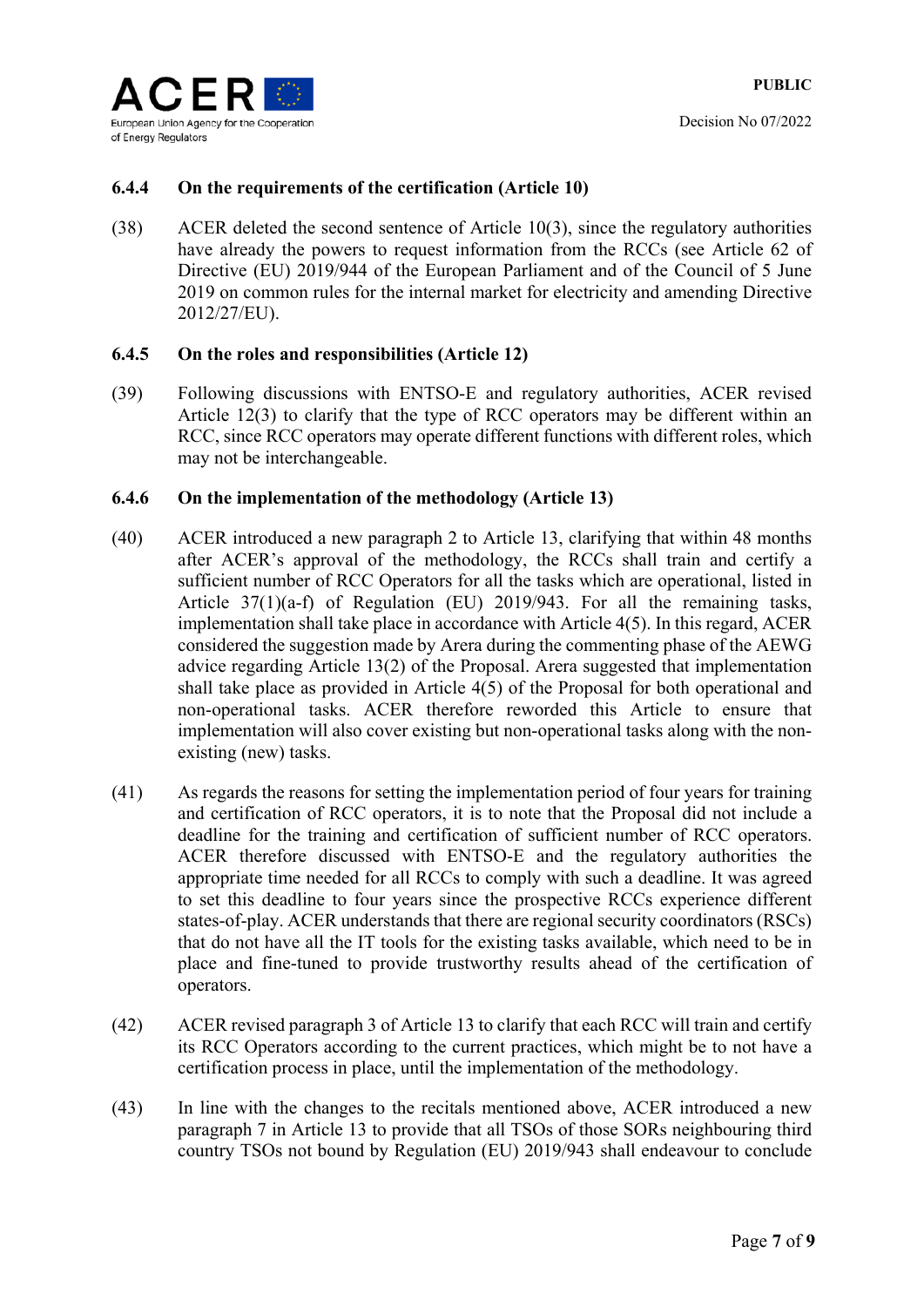

### **6.4.4 On the requirements of the certification (Article 10)**

(38) ACER deleted the second sentence of Article 10(3), since the regulatory authorities have already the powers to request information from the RCCs (see Article 62 of Directive (EU) 2019/944 of the European Parliament and of the Council of 5 June 2019 on common rules for the internal market for electricity and amending Directive 2012/27/EU).

### **6.4.5 On the roles and responsibilities (Article 12)**

(39) Following discussions with ENTSO-E and regulatory authorities, ACER revised Article 12(3) to clarify that the type of RCC operators may be different within an RCC, since RCC operators may operate different functions with different roles, which may not be interchangeable.

### **6.4.6 On the implementation of the methodology (Article 13)**

- (40) ACER introduced a new paragraph 2 to Article 13, clarifying that within 48 months after ACER's approval of the methodology, the RCCs shall train and certify a sufficient number of RCC Operators for all the tasks which are operational, listed in Article 37(1)(a-f) of Regulation (EU) 2019/943. For all the remaining tasks, implementation shall take place in accordance with Article 4(5). In this regard, ACER considered the suggestion made by Arera during the commenting phase of the AEWG advice regarding Article 13(2) of the Proposal. Arera suggested that implementation shall take place as provided in Article 4(5) of the Proposal for both operational and non-operational tasks. ACER therefore reworded this Article to ensure that implementation will also cover existing but non-operational tasks along with the nonexisting (new) tasks.
- (41) As regards the reasons for setting the implementation period of four years for training and certification of RCC operators, it is to note that the Proposal did not include a deadline for the training and certification of sufficient number of RCC operators. ACER therefore discussed with ENTSO-E and the regulatory authorities the appropriate time needed for all RCCs to comply with such a deadline. It was agreed to set this deadline to four years since the prospective RCCs experience different states-of-play. ACER understands that there are regional security coordinators (RSCs) that do not have all the IT tools for the existing tasks available, which need to be in place and fine-tuned to provide trustworthy results ahead of the certification of operators.
- (42) ACER revised paragraph 3 of Article 13 to clarify that each RCC will train and certify its RCC Operators according to the current practices, which might be to not have a certification process in place, until the implementation of the methodology.
- (43) In line with the changes to the recitals mentioned above, ACER introduced a new paragraph 7 in Article 13 to provide that all TSOs of those SORs neighbouring third country TSOs not bound by Regulation (EU) 2019/943 shall endeavour to conclude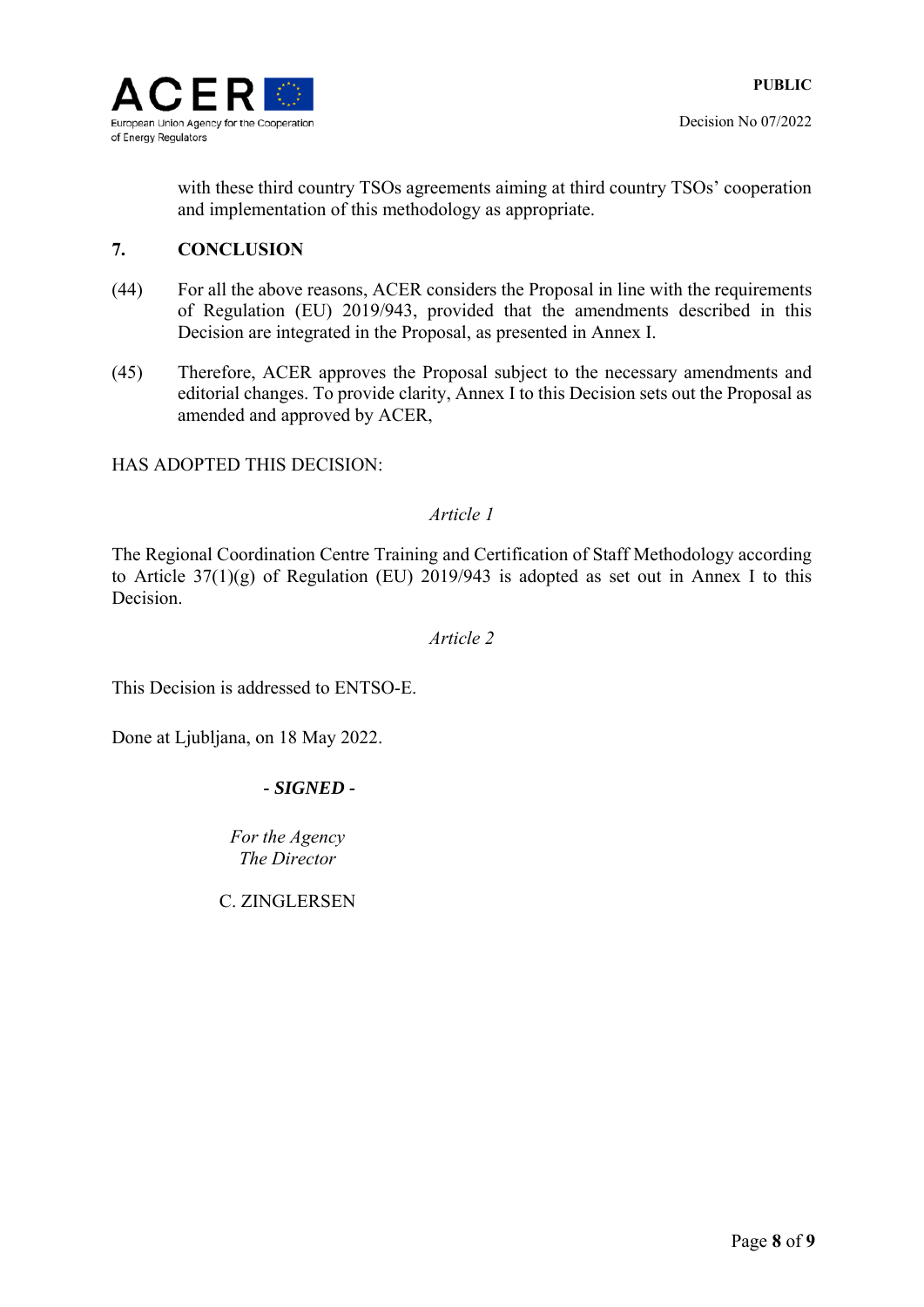

with these third country TSOs agreements aiming at third country TSOs' cooperation and implementation of this methodology as appropriate.

### **7. CONCLUSION**

- (44) For all the above reasons, ACER considers the Proposal in line with the requirements of Regulation (EU) 2019/943, provided that the amendments described in this Decision are integrated in the Proposal, as presented in Annex I.
- (45) Therefore, ACER approves the Proposal subject to the necessary amendments and editorial changes. To provide clarity, Annex I to this Decision sets out the Proposal as amended and approved by ACER,

### HAS ADOPTED THIS DECISION:

### *Article 1*

The Regional Coordination Centre Training and Certification of Staff Methodology according to Article  $37(1)(g)$  of Regulation (EU) 2019/943 is adopted as set out in Annex I to this Decision.

### *Article 2*

This Decision is addressed to ENTSO-E.

Done at Ljubljana, on 18 May 2022.

### *- SIGNED -*

*Fоr the Agency The Director* 

C. ZINGLERSEN